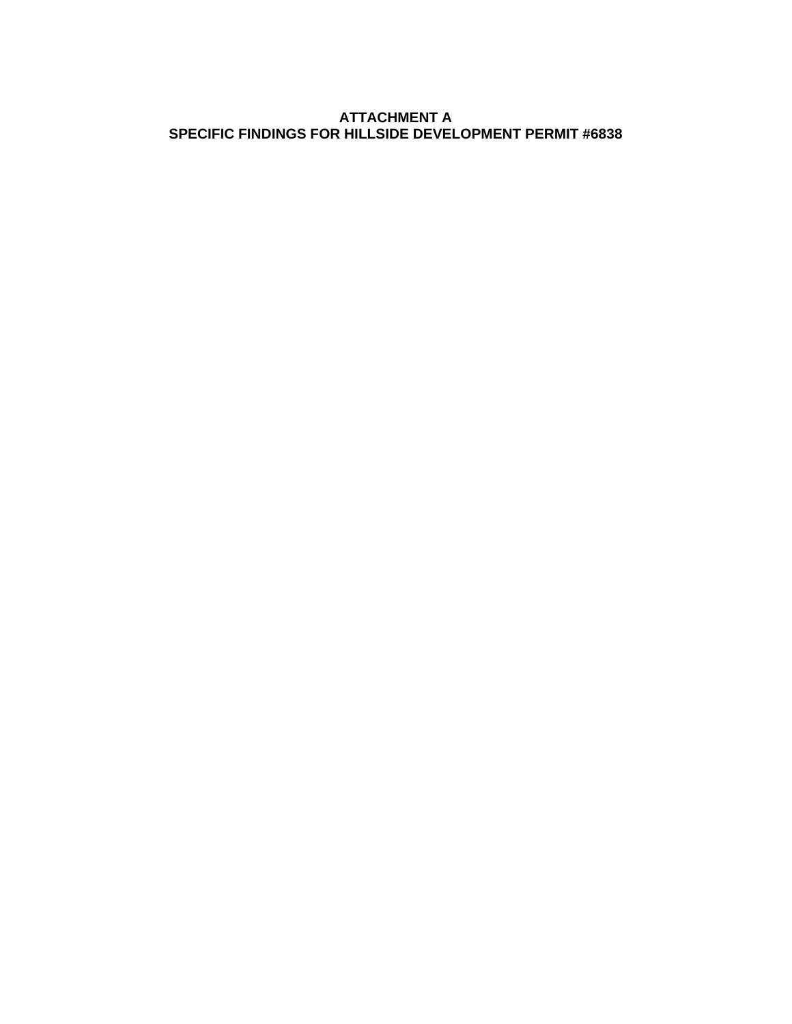## **ATTACHMENT A SPECIFIC FINDINGS FOR HILLSIDE DEVELOPMENT PERMIT #6838**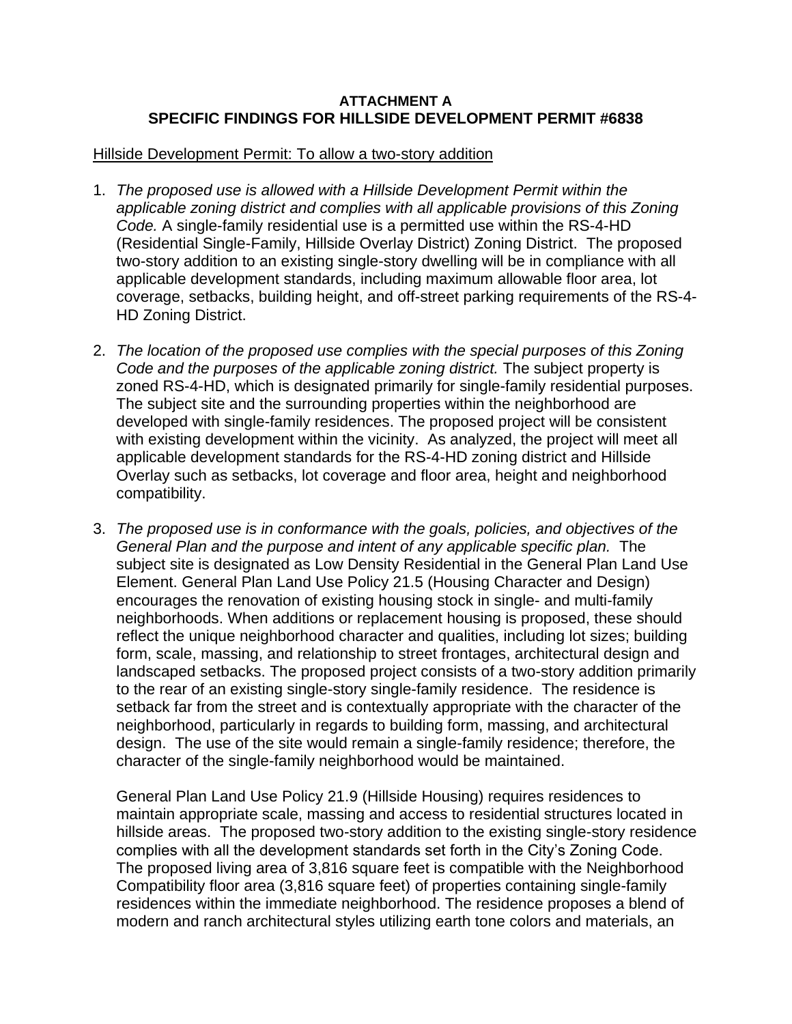## **ATTACHMENT A SPECIFIC FINDINGS FOR HILLSIDE DEVELOPMENT PERMIT #6838**

## Hillside Development Permit: To allow a two-story addition

- 1. *The proposed use is allowed with a Hillside Development Permit within the applicable zoning district and complies with all applicable provisions of this Zoning Code.* A single-family residential use is a permitted use within the RS-4-HD (Residential Single-Family, Hillside Overlay District) Zoning District. The proposed two-story addition to an existing single-story dwelling will be in compliance with all applicable development standards, including maximum allowable floor area, lot coverage, setbacks, building height, and off-street parking requirements of the RS-4- HD Zoning District.
- 2. *The location of the proposed use complies with the special purposes of this Zoning Code and the purposes of the applicable zoning district.* The subject property is zoned RS-4-HD, which is designated primarily for single-family residential purposes. The subject site and the surrounding properties within the neighborhood are developed with single-family residences. The proposed project will be consistent with existing development within the vicinity. As analyzed, the project will meet all applicable development standards for the RS-4-HD zoning district and Hillside Overlay such as setbacks, lot coverage and floor area, height and neighborhood compatibility.
- 3. *The proposed use is in conformance with the goals, policies, and objectives of the General Plan and the purpose and intent of any applicable specific plan.* The subject site is designated as Low Density Residential in the General Plan Land Use Element. General Plan Land Use Policy 21.5 (Housing Character and Design) encourages the renovation of existing housing stock in single- and multi-family neighborhoods. When additions or replacement housing is proposed, these should reflect the unique neighborhood character and qualities, including lot sizes; building form, scale, massing, and relationship to street frontages, architectural design and landscaped setbacks. The proposed project consists of a two-story addition primarily to the rear of an existing single-story single-family residence. The residence is setback far from the street and is contextually appropriate with the character of the neighborhood, particularly in regards to building form, massing, and architectural design. The use of the site would remain a single-family residence; therefore, the character of the single-family neighborhood would be maintained.

General Plan Land Use Policy 21.9 (Hillside Housing) requires residences to maintain appropriate scale, massing and access to residential structures located in hillside areas. The proposed two-story addition to the existing single-story residence complies with all the development standards set forth in the City's Zoning Code. The proposed living area of 3,816 square feet is compatible with the Neighborhood Compatibility floor area (3,816 square feet) of properties containing single-family residences within the immediate neighborhood. The residence proposes a blend of modern and ranch architectural styles utilizing earth tone colors and materials, an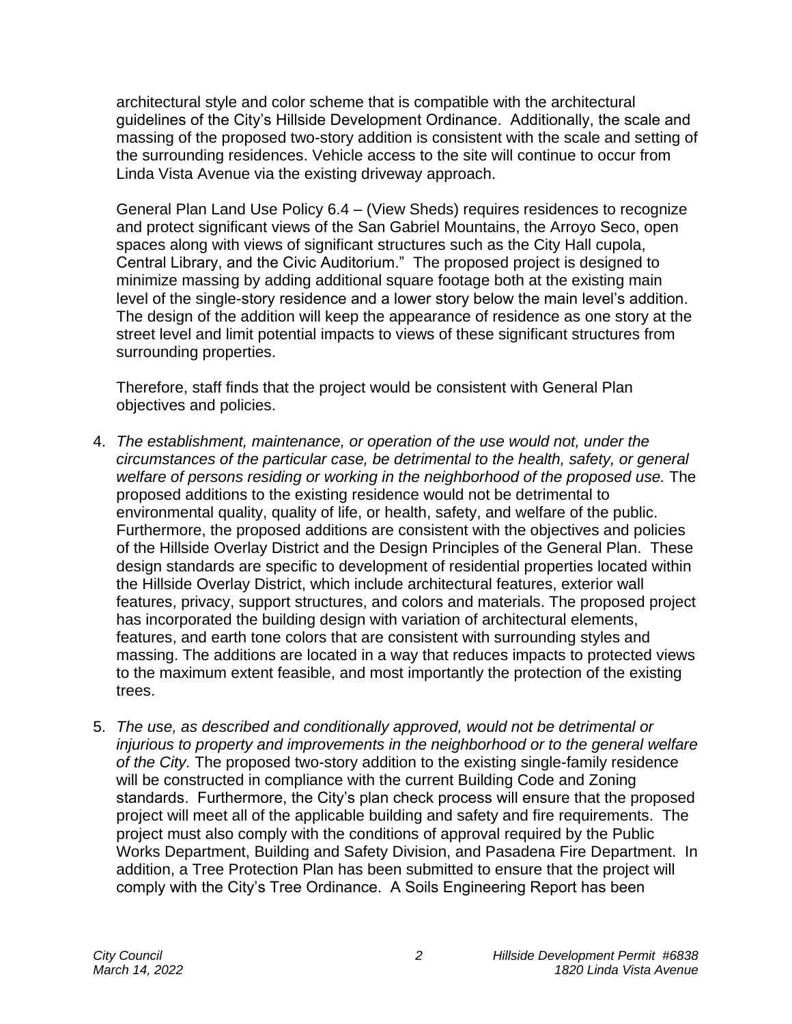architectural style and color scheme that is compatible with the architectural guidelines of the City's Hillside Development Ordinance. Additionally, the scale and massing of the proposed two-story addition is consistent with the scale and setting of the surrounding residences. Vehicle access to the site will continue to occur from Linda Vista Avenue via the existing driveway approach.

General Plan Land Use Policy 6.4 – (View Sheds) requires residences to recognize and protect significant views of the San Gabriel Mountains, the Arroyo Seco, open spaces along with views of significant structures such as the City Hall cupola, Central Library, and the Civic Auditorium." The proposed project is designed to minimize massing by adding additional square footage both at the existing main level of the single-story residence and a lower story below the main level's addition. The design of the addition will keep the appearance of residence as one story at the street level and limit potential impacts to views of these significant structures from surrounding properties.

Therefore, staff finds that the project would be consistent with General Plan objectives and policies.

- 4. *The establishment, maintenance, or operation of the use would not, under the circumstances of the particular case, be detrimental to the health, safety, or general welfare of persons residing or working in the neighborhood of the proposed use.* The proposed additions to the existing residence would not be detrimental to environmental quality, quality of life, or health, safety, and welfare of the public. Furthermore, the proposed additions are consistent with the objectives and policies of the Hillside Overlay District and the Design Principles of the General Plan. These design standards are specific to development of residential properties located within the Hillside Overlay District, which include architectural features, exterior wall features, privacy, support structures, and colors and materials. The proposed project has incorporated the building design with variation of architectural elements, features, and earth tone colors that are consistent with surrounding styles and massing. The additions are located in a way that reduces impacts to protected views to the maximum extent feasible, and most importantly the protection of the existing trees.
- 5. *The use, as described and conditionally approved, would not be detrimental or injurious to property and improvements in the neighborhood or to the general welfare of the City.* The proposed two-story addition to the existing single-family residence will be constructed in compliance with the current Building Code and Zoning standards. Furthermore, the City's plan check process will ensure that the proposed project will meet all of the applicable building and safety and fire requirements. The project must also comply with the conditions of approval required by the Public Works Department, Building and Safety Division, and Pasadena Fire Department. In addition, a Tree Protection Plan has been submitted to ensure that the project will comply with the City's Tree Ordinance. A Soils Engineering Report has been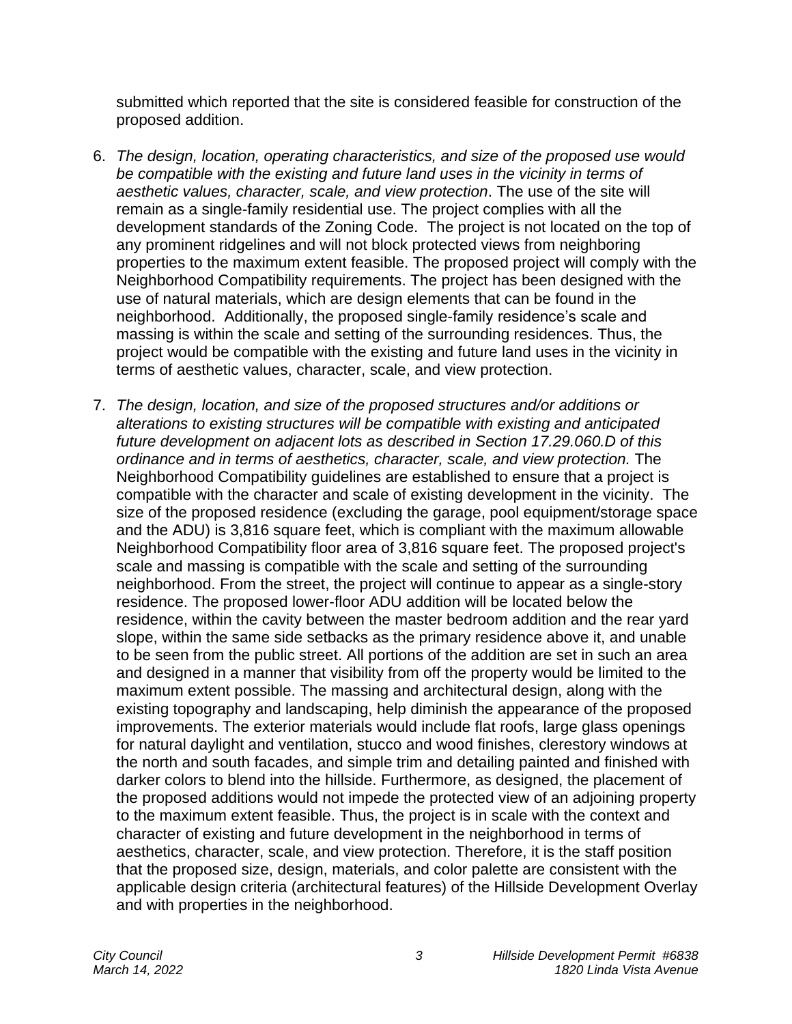submitted which reported that the site is considered feasible for construction of the proposed addition.

- 6. *The design, location, operating characteristics, and size of the proposed use would be compatible with the existing and future land uses in the vicinity in terms of aesthetic values, character, scale, and view protection*. The use of the site will remain as a single-family residential use. The project complies with all the development standards of the Zoning Code. The project is not located on the top of any prominent ridgelines and will not block protected views from neighboring properties to the maximum extent feasible. The proposed project will comply with the Neighborhood Compatibility requirements. The project has been designed with the use of natural materials, which are design elements that can be found in the neighborhood. Additionally, the proposed single-family residence's scale and massing is within the scale and setting of the surrounding residences. Thus, the project would be compatible with the existing and future land uses in the vicinity in terms of aesthetic values, character, scale, and view protection.
- 7. *The design, location, and size of the proposed structures and/or additions or alterations to existing structures will be compatible with existing and anticipated future development on adjacent lots as described in Section 17.29.060.D of this ordinance and in terms of aesthetics, character, scale, and view protection.* The Neighborhood Compatibility guidelines are established to ensure that a project is compatible with the character and scale of existing development in the vicinity. The size of the proposed residence (excluding the garage, pool equipment/storage space and the ADU) is 3,816 square feet, which is compliant with the maximum allowable Neighborhood Compatibility floor area of 3,816 square feet. The proposed project's scale and massing is compatible with the scale and setting of the surrounding neighborhood. From the street, the project will continue to appear as a single-story residence. The proposed lower-floor ADU addition will be located below the residence, within the cavity between the master bedroom addition and the rear yard slope, within the same side setbacks as the primary residence above it, and unable to be seen from the public street. All portions of the addition are set in such an area and designed in a manner that visibility from off the property would be limited to the maximum extent possible. The massing and architectural design, along with the existing topography and landscaping, help diminish the appearance of the proposed improvements. The exterior materials would include flat roofs, large glass openings for natural daylight and ventilation, stucco and wood finishes, clerestory windows at the north and south facades, and simple trim and detailing painted and finished with darker colors to blend into the hillside. Furthermore, as designed, the placement of the proposed additions would not impede the protected view of an adjoining property to the maximum extent feasible. Thus, the project is in scale with the context and character of existing and future development in the neighborhood in terms of aesthetics, character, scale, and view protection. Therefore, it is the staff position that the proposed size, design, materials, and color palette are consistent with the applicable design criteria (architectural features) of the Hillside Development Overlay and with properties in the neighborhood.